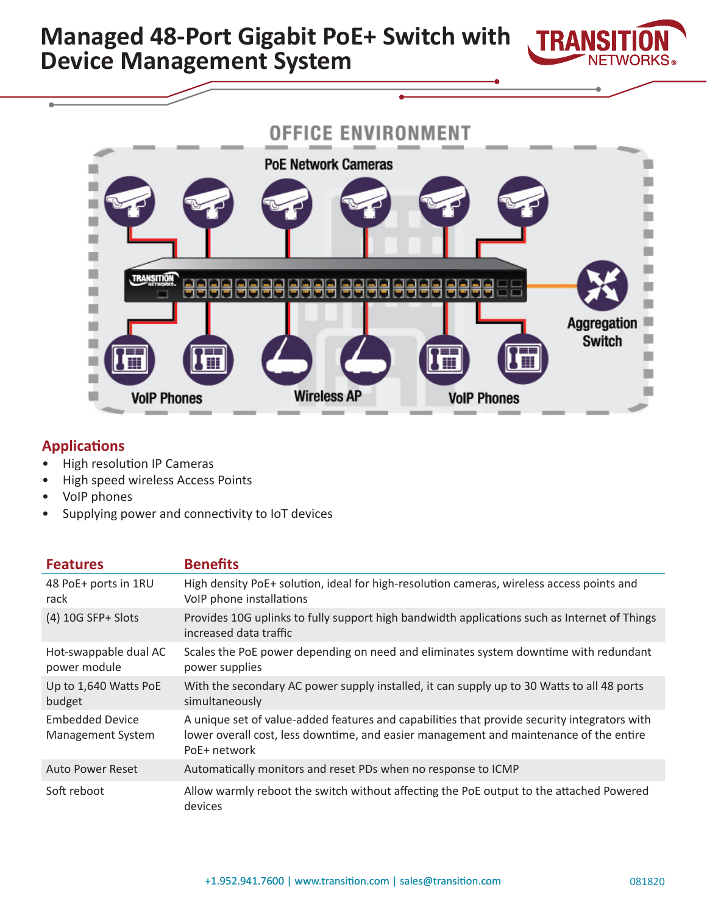



# **Applications**

- High resolution IP Cameras
- High speed wireless Access Points
- VoIP phones
- Supplying power and connectivity to IoT devices

| <b>Features</b>                             | <b>Benefits</b>                                                                                                                                                                                        |
|---------------------------------------------|--------------------------------------------------------------------------------------------------------------------------------------------------------------------------------------------------------|
| 48 PoE+ ports in 1RU<br>rack                | High density PoE+ solution, ideal for high-resolution cameras, wireless access points and<br>VoIP phone installations                                                                                  |
| $(4)$ 10G SFP+ Slots                        | Provides 10G uplinks to fully support high bandwidth applications such as Internet of Things<br>increased data traffic                                                                                 |
| Hot-swappable dual AC<br>power module       | Scales the PoE power depending on need and eliminates system downtime with redundant<br>power supplies                                                                                                 |
| Up to 1,640 Watts PoE<br>budget             | With the secondary AC power supply installed, it can supply up to 30 Watts to all 48 ports<br>simultaneously                                                                                           |
| <b>Embedded Device</b><br>Management System | A unique set of value-added features and capabilities that provide security integrators with<br>lower overall cost, less downtime, and easier management and maintenance of the entire<br>PoE+ network |
| Auto Power Reset                            | Automatically monitors and reset PDs when no response to ICMP                                                                                                                                          |
| Soft reboot                                 | Allow warmly reboot the switch without affecting the PoE output to the attached Powered<br>devices                                                                                                     |